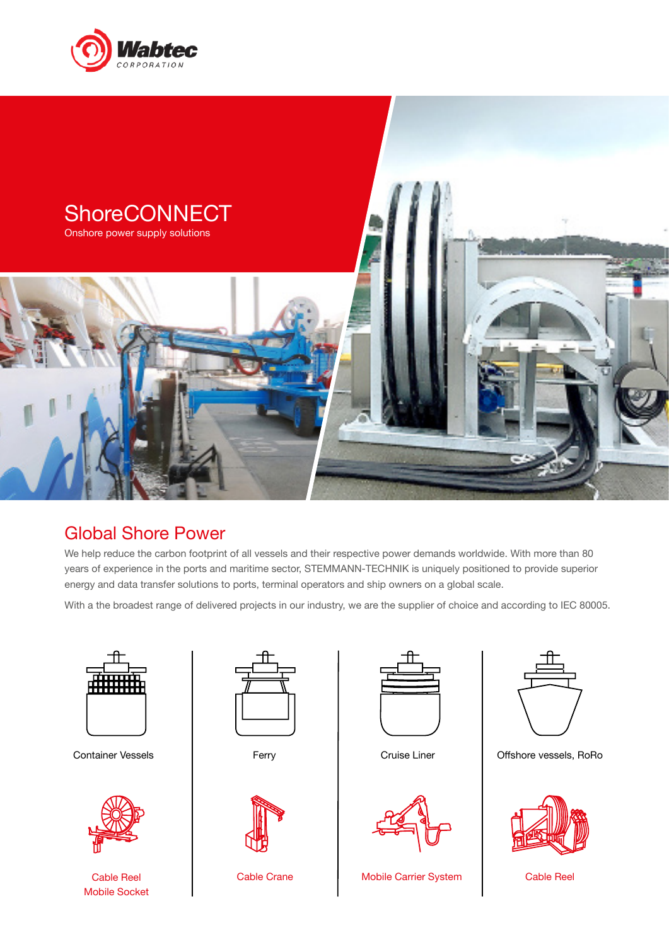



#### Global Shore Power

We help reduce the carbon footprint of all vessels and their respective power demands worldwide. With more than 80 years of experience in the ports and maritime sector, STEMMANN-TECHNIK is uniquely positioned to provide superior energy and data transfer solutions to ports, terminal operators and ship owners on a global scale.

With a the broadest range of delivered projects in our industry, we are the supplier of choice and according to IEC 80005.





Mobile Socket







Cable Reel **Cable Crane** Nobile Carrier System Nobile Reel Cable Reel



Container Vessels **Ferry** Ferry Cruise Liner **Cruise Liner** Offshore vessels, RoRo